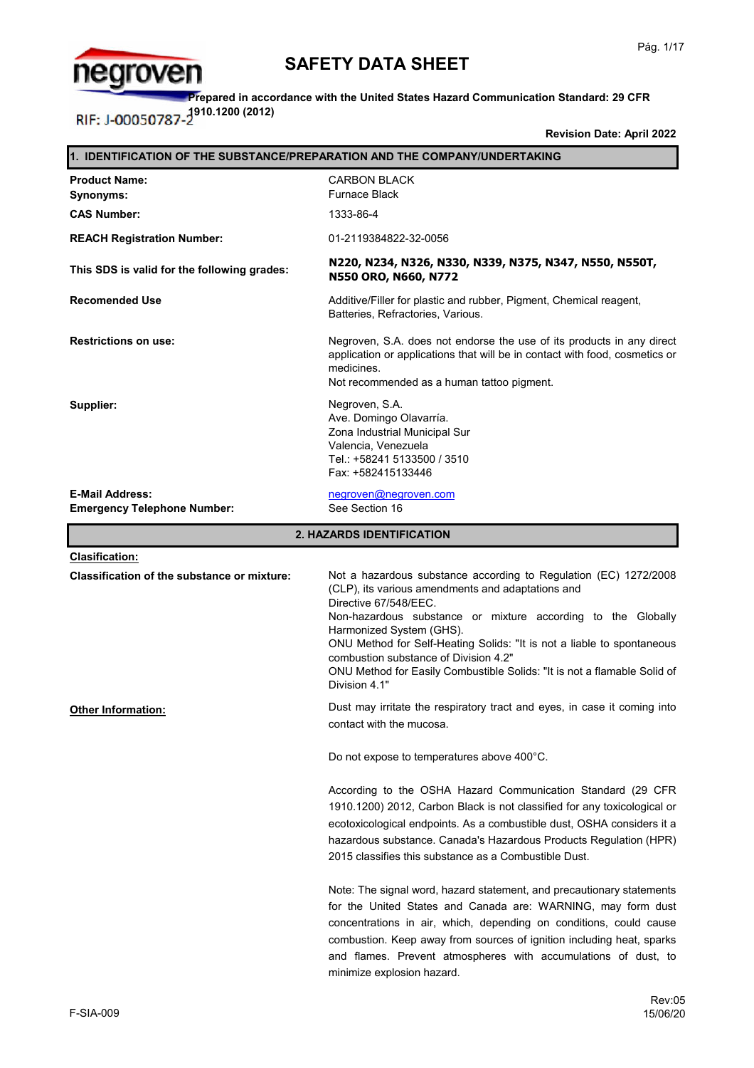

**Prepared in accordance with the United States Hazard Communication Standard: 29 CFR 1910.1200 (2012)**

**Revision Date: April 2022**

| 1. IDENTIFICATION OF THE SUBSTANCE/PREPARATION AND THE COMPANY/UNDERTAKING |                                                                                                                                                                                                                                                                                                                                                                                                                                                            |  |
|----------------------------------------------------------------------------|------------------------------------------------------------------------------------------------------------------------------------------------------------------------------------------------------------------------------------------------------------------------------------------------------------------------------------------------------------------------------------------------------------------------------------------------------------|--|
| <b>Product Name:</b><br>Synonyms:                                          | <b>CARBON BLACK</b><br><b>Furnace Black</b>                                                                                                                                                                                                                                                                                                                                                                                                                |  |
| <b>CAS Number:</b>                                                         | 1333-86-4                                                                                                                                                                                                                                                                                                                                                                                                                                                  |  |
| <b>REACH Registration Number:</b>                                          | 01-2119384822-32-0056                                                                                                                                                                                                                                                                                                                                                                                                                                      |  |
| This SDS is valid for the following grades:                                | N220, N234, N326, N330, N339, N375, N347, N550, N550T,<br>N550 ORO, N660, N772                                                                                                                                                                                                                                                                                                                                                                             |  |
| <b>Recomended Use</b>                                                      | Additive/Filler for plastic and rubber, Pigment, Chemical reagent,<br>Batteries, Refractories, Various.                                                                                                                                                                                                                                                                                                                                                    |  |
| <b>Restrictions on use:</b>                                                | Negroven, S.A. does not endorse the use of its products in any direct<br>application or applications that will be in contact with food, cosmetics or<br>medicines.<br>Not recommended as a human tattoo pigment.                                                                                                                                                                                                                                           |  |
| Supplier:                                                                  | Negroven, S.A.<br>Ave. Domingo Olavarría.<br>Zona Industrial Municipal Sur<br>Valencia, Venezuela<br>Tel.: +58241 5133500 / 3510<br>Fax: +582415133446                                                                                                                                                                                                                                                                                                     |  |
| <b>E-Mail Address:</b><br><b>Emergency Telephone Number:</b>               | negroven@negroven.com<br>See Section 16                                                                                                                                                                                                                                                                                                                                                                                                                    |  |
|                                                                            | 2. HAZARDS IDENTIFICATION                                                                                                                                                                                                                                                                                                                                                                                                                                  |  |
| <b>Clasification:</b>                                                      |                                                                                                                                                                                                                                                                                                                                                                                                                                                            |  |
| <b>Classification of the substance or mixture:</b>                         | Not a hazardous substance according to Regulation (EC) 1272/2008<br>(CLP), its various amendments and adaptations and<br>Directive 67/548/EEC.<br>Non-hazardous substance or mixture according to the Globally<br>Harmonized System (GHS).<br>ONU Method for Self-Heating Solids: "It is not a liable to spontaneous<br>combustion substance of Division 4.2"<br>ONU Method for Easily Combustible Solids: "It is not a flamable Solid of<br>Division 4.1" |  |
| Other Information:                                                         | Dust may irritate the respiratory tract and eyes, in case it coming into<br>contact with the mucosa.                                                                                                                                                                                                                                                                                                                                                       |  |
|                                                                            | Do not expose to temperatures above 400°C.                                                                                                                                                                                                                                                                                                                                                                                                                 |  |
|                                                                            | According to the OSHA Hazard Communication Standard (29 CFR<br>1910.1200) 2012, Carbon Black is not classified for any toxicological or<br>ecotoxicological endpoints. As a combustible dust, OSHA considers it a<br>hazardous substance. Canada's Hazardous Products Regulation (HPR)<br>2015 classifies this substance as a Combustible Dust.                                                                                                            |  |
|                                                                            | Note: The signal word, hazard statement, and precautionary statements<br>for the United States and Canada are: WARNING, may form dust<br>concentrations in air, which, depending on conditions, could cause<br>combustion. Keep away from sources of ignition including heat, sparks<br>and flames. Prevent atmospheres with accumulations of dust, to<br>minimize explosion hazard.                                                                       |  |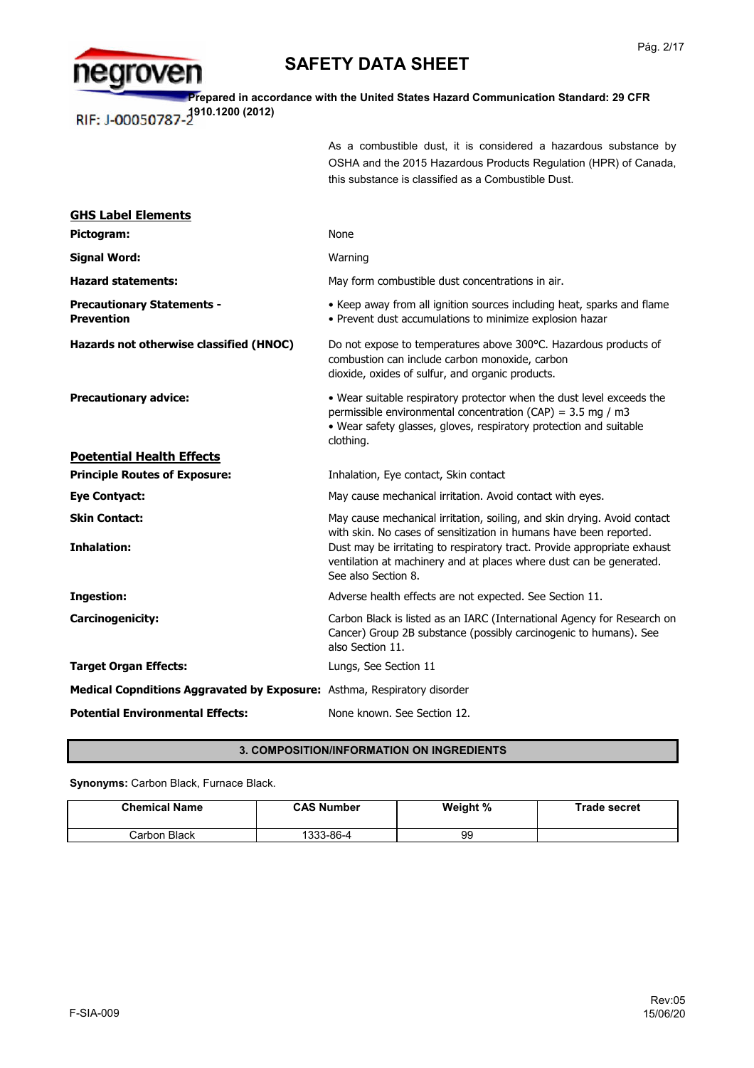

**Prepared in accordance with the United States Hazard Communication Standard: 29 CFR**  RIF: J-00050787-2<sup>910.1200</sup> (2012)

> As a combustible dust, it is considered a hazardous substance by OSHA and the 2015 Hazardous Products Regulation (HPR) of Canada, this substance is classified as a Combustible Dust.

| <b>GHS Label Elements</b>                                                       |                                                                                                                                                                                                                                              |
|---------------------------------------------------------------------------------|----------------------------------------------------------------------------------------------------------------------------------------------------------------------------------------------------------------------------------------------|
| Pictogram:                                                                      | None                                                                                                                                                                                                                                         |
| <b>Signal Word:</b>                                                             | Warning                                                                                                                                                                                                                                      |
| <b>Hazard statements:</b>                                                       | May form combustible dust concentrations in air.                                                                                                                                                                                             |
| <b>Precautionary Statements -</b><br><b>Prevention</b>                          | • Keep away from all ignition sources including heat, sparks and flame<br>• Prevent dust accumulations to minimize explosion hazar                                                                                                           |
| Hazards not otherwise classified (HNOC)                                         | Do not expose to temperatures above 300°C. Hazardous products of<br>combustion can include carbon monoxide, carbon<br>dioxide, oxides of sulfur, and organic products.                                                                       |
| <b>Precautionary advice:</b>                                                    | • Wear suitable respiratory protector when the dust level exceeds the<br>permissible environmental concentration (CAP) = $3.5$ mg / m3<br>. Wear safety glasses, gloves, respiratory protection and suitable<br>clothing.                    |
| <b>Poetential Health Effects</b>                                                |                                                                                                                                                                                                                                              |
| <b>Principle Routes of Exposure:</b>                                            | Inhalation, Eye contact, Skin contact                                                                                                                                                                                                        |
| <b>Eye Contyact:</b>                                                            | May cause mechanical irritation. Avoid contact with eyes.                                                                                                                                                                                    |
| <b>Skin Contact:</b>                                                            | May cause mechanical irritation, soiling, and skin drying. Avoid contact                                                                                                                                                                     |
| <b>Inhalation:</b>                                                              | with skin. No cases of sensitization in humans have been reported.<br>Dust may be irritating to respiratory tract. Provide appropriate exhaust<br>ventilation at machinery and at places where dust can be generated.<br>See also Section 8. |
| <b>Ingestion:</b>                                                               | Adverse health effects are not expected. See Section 11.                                                                                                                                                                                     |
| <b>Carcinogenicity:</b>                                                         | Carbon Black is listed as an IARC (International Agency for Research on<br>Cancer) Group 2B substance (possibly carcinogenic to humans). See<br>also Section 11.                                                                             |
| <b>Target Organ Effects:</b>                                                    | Lungs, See Section 11                                                                                                                                                                                                                        |
| <b>Medical Copnditions Aggravated by Exposure:</b> Asthma, Respiratory disorder |                                                                                                                                                                                                                                              |
| <b>Potential Environmental Effects:</b>                                         | None known. See Section 12.                                                                                                                                                                                                                  |

### **3. COMPOSITION/INFORMATION ON INGREDIENTS**

**Synonyms:** Carbon Black, Furnace Black.

| <b>Chemical Name</b> | <b>CAS Number</b> | Weight % | Trade secret |
|----------------------|-------------------|----------|--------------|
| Carbon Black         | 1333-86-4         | 99       |              |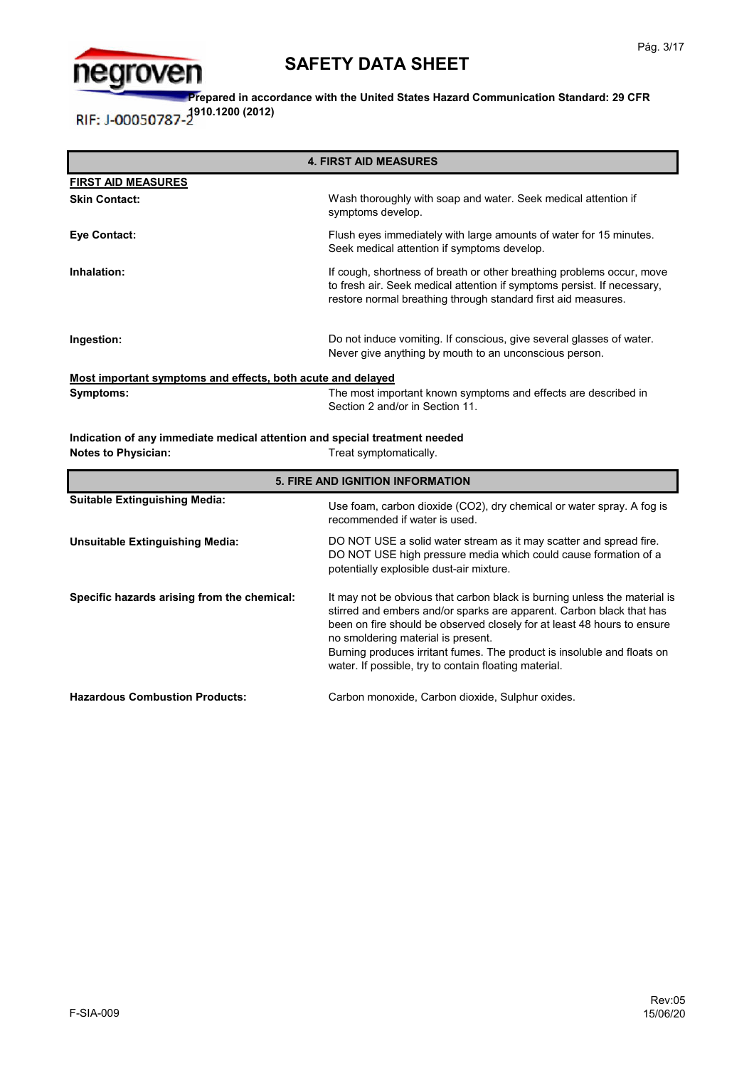

**Prepared in accordance with the United States Hazard Communication Standard: 29 CFR 1910.1200 (2012)** RIF: J-00050787-

**Most important symptoms and effects, both acute and delayed** If cough, shortness of breath or other breathing problems occur, move to fresh air. Seek medical attention if symptoms persist. If necessary, restore normal breathing through standard first aid measures. **FIRST AID MEASURES Eye Contact: Ingestion: Ingestion: Ingestion: Do not induce vomiting. If conscious, give several glasses of water.** Never give anything by mouth to an unconscious person. Wash thoroughly with soap and water. Seek medical attention if symptoms develop. The most important known symptoms and effects are described in **Symptoms:** Flush eyes immediately with large amounts of water for 15 minutes. Seek medical attention if symptoms develop. **Skin Contact: Inhalation: 4. FIRST AID MEASURES**

Section 2 and/or in Section 11.

**Indication of any immediate medical attention and special treatment needed Notes to Physician:** Treat symptomatically.

| <b>5. FIRE AND IGNITION INFORMATION</b>     |                                                                                                                                                                                                                                                                                                                                                                                                        |  |
|---------------------------------------------|--------------------------------------------------------------------------------------------------------------------------------------------------------------------------------------------------------------------------------------------------------------------------------------------------------------------------------------------------------------------------------------------------------|--|
| <b>Suitable Extinguishing Media:</b>        | Use foam, carbon dioxide (CO2), dry chemical or water spray. A fog is<br>recommended if water is used.                                                                                                                                                                                                                                                                                                 |  |
| <b>Unsuitable Extinguishing Media:</b>      | DO NOT USE a solid water stream as it may scatter and spread fire.<br>DO NOT USE high pressure media which could cause formation of a<br>potentially explosible dust-air mixture.                                                                                                                                                                                                                      |  |
| Specific hazards arising from the chemical: | It may not be obvious that carbon black is burning unless the material is<br>stirred and embers and/or sparks are apparent. Carbon black that has<br>been on fire should be observed closely for at least 48 hours to ensure<br>no smoldering material is present.<br>Burning produces irritant fumes. The product is insoluble and floats on<br>water. If possible, try to contain floating material. |  |
| <b>Hazardous Combustion Products:</b>       | Carbon monoxide, Carbon dioxide, Sulphur oxides.                                                                                                                                                                                                                                                                                                                                                       |  |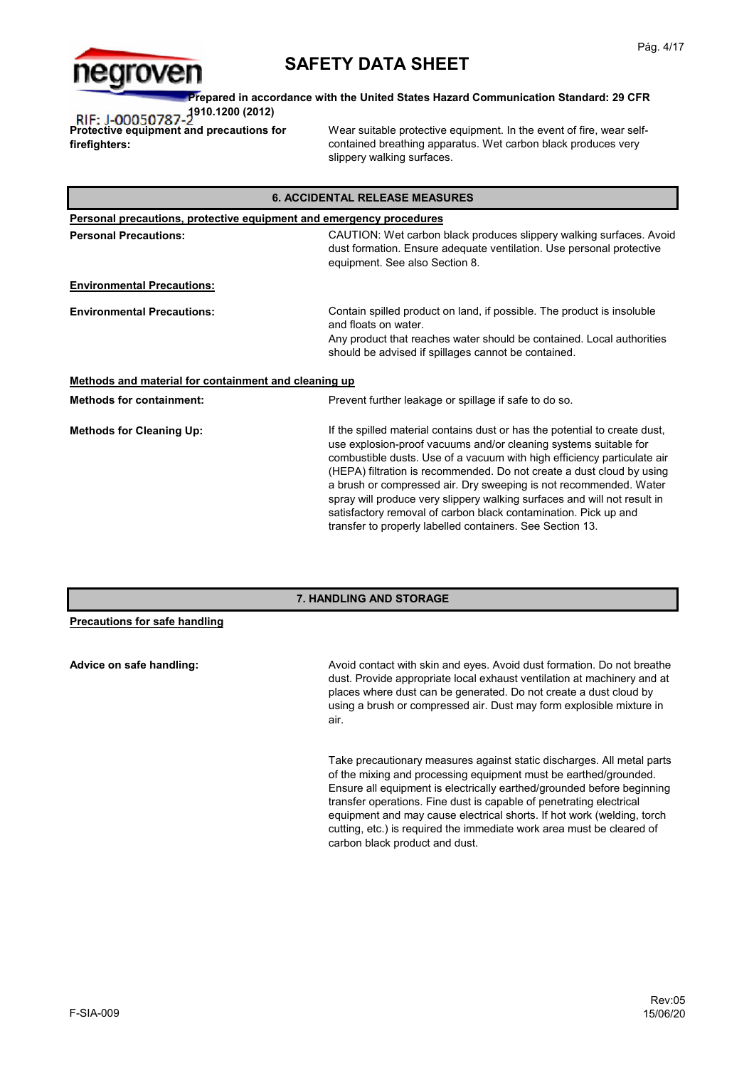

**Prepared in accordance with the United States Hazard Communication Standard: 29 CFR 1910.1200 (2012)**

**Protective equipment and precautions for firefighters:**

Wear suitable protective equipment. In the event of fire, wear selfcontained breathing apparatus. Wet carbon black produces very slippery walking surfaces.

| <b>6. ACCIDENTAL RELEASE MEASURES</b>                                      |                                                                                                                                                                                                                                                                                                                                                                                                                                                                                                                                                                                     |  |
|----------------------------------------------------------------------------|-------------------------------------------------------------------------------------------------------------------------------------------------------------------------------------------------------------------------------------------------------------------------------------------------------------------------------------------------------------------------------------------------------------------------------------------------------------------------------------------------------------------------------------------------------------------------------------|--|
| <b>Personal precautions, protective equipment and emergency procedures</b> |                                                                                                                                                                                                                                                                                                                                                                                                                                                                                                                                                                                     |  |
| <b>Personal Precautions:</b>                                               | CAUTION: Wet carbon black produces slippery walking surfaces. Avoid<br>dust formation. Ensure adequate ventilation. Use personal protective<br>equipment. See also Section 8.                                                                                                                                                                                                                                                                                                                                                                                                       |  |
| <b>Environmental Precautions:</b>                                          |                                                                                                                                                                                                                                                                                                                                                                                                                                                                                                                                                                                     |  |
| <b>Environmental Precautions:</b>                                          | Contain spilled product on land, if possible. The product is insoluble<br>and floats on water.<br>Any product that reaches water should be contained. Local authorities<br>should be advised if spillages cannot be contained.                                                                                                                                                                                                                                                                                                                                                      |  |
| Methods and material for containment and cleaning up                       |                                                                                                                                                                                                                                                                                                                                                                                                                                                                                                                                                                                     |  |
| <b>Methods for containment:</b>                                            | Prevent further leakage or spillage if safe to do so.                                                                                                                                                                                                                                                                                                                                                                                                                                                                                                                               |  |
| <b>Methods for Cleaning Up:</b>                                            | If the spilled material contains dust or has the potential to create dust,<br>use explosion-proof vacuums and/or cleaning systems suitable for<br>combustible dusts. Use of a vacuum with high efficiency particulate air<br>(HEPA) filtration is recommended. Do not create a dust cloud by using<br>a brush or compressed air. Dry sweeping is not recommended. Water<br>spray will produce very slippery walking surfaces and will not result in<br>satisfactory removal of carbon black contamination. Pick up and<br>transfer to properly labelled containers. See Section 13. |  |

### **7. HANDLING AND STORAGE**

| Precautions for safe handling |                                                                                                                                                                                                                                                                                                        |
|-------------------------------|--------------------------------------------------------------------------------------------------------------------------------------------------------------------------------------------------------------------------------------------------------------------------------------------------------|
| Advice on safe handling:      | Avoid contact with skin and eyes. Avoid dust formation. Do not breathe<br>dust. Provide appropriate local exhaust ventilation at machinery and at<br>places where dust can be generated. Do not create a dust cloud by<br>using a brush or compressed air. Dust may form explosible mixture in<br>air. |
|                               | Take precautionary measures against static discharges. All metal parts<br>of the mixing and processing equipment must be earthed/grounded                                                                                                                                                              |

of the mixing and processing equipment must be earthed/grounded. Ensure all equipment is electrically earthed/grounded before beginning transfer operations. Fine dust is capable of penetrating electrical equipment and may cause electrical shorts. If hot work (welding, torch cutting, etc.) is required the immediate work area must be cleared of carbon black product and dust.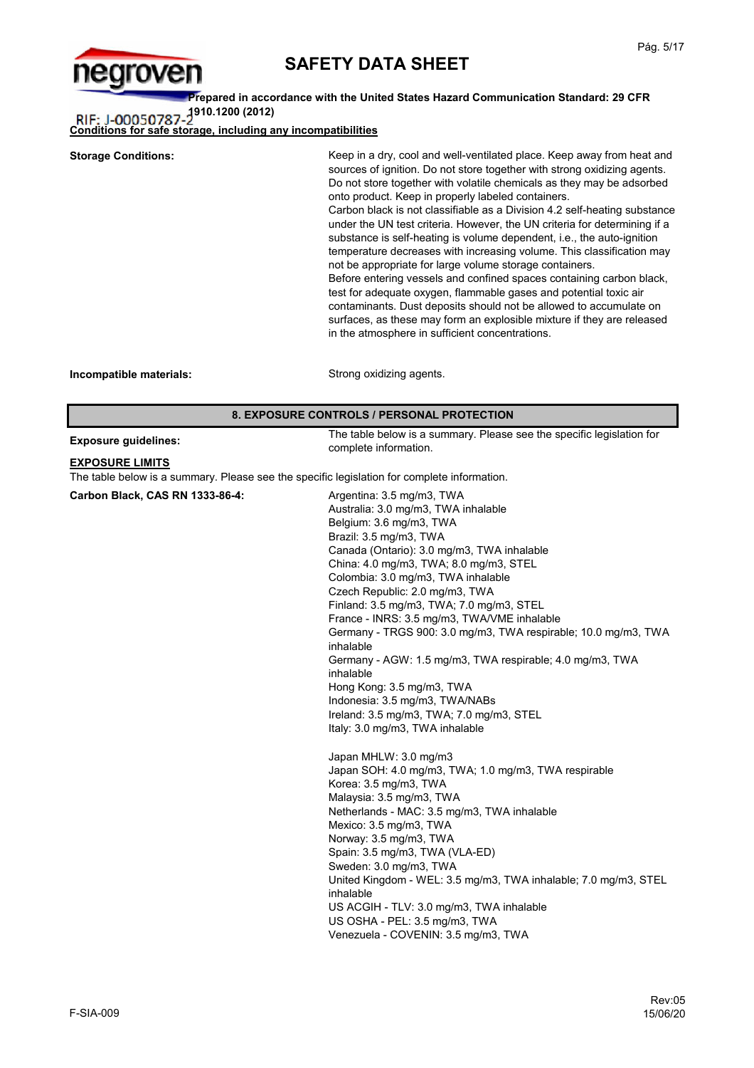

**Prepared in accordance with the United States Hazard Communication Standard: 29 CFR 1910.1200 (2012)**

**Conditions for safe storage, including any incompatibilities**

| <b>Storage Conditions:</b>                 | Keep in a dry, cool and well-ventilated place. Keep away from heat and<br>sources of ignition. Do not store together with strong oxidizing agents.<br>Do not store together with volatile chemicals as they may be adsorbed<br>onto product. Keep in properly labeled containers.<br>Carbon black is not classifiable as a Division 4.2 self-heating substance<br>under the UN test criteria. However, the UN criteria for determining if a<br>substance is self-heating is volume dependent, i.e., the auto-ignition<br>temperature decreases with increasing volume. This classification may<br>not be appropriate for large volume storage containers.<br>Before entering vessels and confined spaces containing carbon black,<br>test for adequate oxygen, flammable gases and potential toxic air<br>contaminants. Dust deposits should not be allowed to accumulate on<br>surfaces, as these may form an explosible mixture if they are released<br>in the atmosphere in sufficient concentrations. |
|--------------------------------------------|-----------------------------------------------------------------------------------------------------------------------------------------------------------------------------------------------------------------------------------------------------------------------------------------------------------------------------------------------------------------------------------------------------------------------------------------------------------------------------------------------------------------------------------------------------------------------------------------------------------------------------------------------------------------------------------------------------------------------------------------------------------------------------------------------------------------------------------------------------------------------------------------------------------------------------------------------------------------------------------------------------------|
| Incompatible materials:                    | Strong oxidizing agents.                                                                                                                                                                                                                                                                                                                                                                                                                                                                                                                                                                                                                                                                                                                                                                                                                                                                                                                                                                                  |
| 8. EXPOSURE CONTROLS / PERSONAL PROTECTION |                                                                                                                                                                                                                                                                                                                                                                                                                                                                                                                                                                                                                                                                                                                                                                                                                                                                                                                                                                                                           |

|  | <b>Exposure guidelines:</b> |
|--|-----------------------------|
|--|-----------------------------|

The table below is a summary. Please see the specific legislation for complete information.

#### **EXPOSURE LIMITS**

The table below is a summary. Please see the specific legislation for complete information.

Japan MHLW: 3.0 mg/m3 Japan SOH: 4.0 mg/m3, TWA; 1.0 mg/m3, TWA respirable Korea: 3.5 mg/m3, TWA Malaysia: 3.5 mg/m3, TWA Netherlands - MAC: 3.5 mg/m3, TWA inhalable Mexico: 3.5 mg/m3, TWA Norway: 3.5 mg/m3, TWA Spain: 3.5 mg/m3, TWA (VLA-ED) Sweden: 3.0 mg/m3, TWA United Kingdom - WEL: 3.5 mg/m3, TWA inhalable; 7.0 mg/m3, STEL inhalable US ACGIH - TLV: 3.0 mg/m3, TWA inhalable US OSHA - PEL: 3.5 mg/m3, TWA Venezuela - COVENIN: 3.5 mg/m3, TWA **Carbon Black, CAS RN 1333-86-4:** Argentina: 3.5 mg/m3, TWA Australia: 3.0 mg/m3, TWA inhalable Belgium: 3.6 mg/m3, TWA Brazil: 3.5 mg/m3, TWA Canada (Ontario): 3.0 mg/m3, TWA inhalable China: 4.0 mg/m3, TWA; 8.0 mg/m3, STEL Colombia: 3.0 mg/m3, TWA inhalable Czech Republic: 2.0 mg/m3, TWA Finland: 3.5 mg/m3, TWA; 7.0 mg/m3, STEL France - INRS: 3.5 mg/m3, TWA/VME inhalable Germany - TRGS 900: 3.0 mg/m3, TWA respirable; 10.0 mg/m3, TWA inhalable Germany - AGW: 1.5 mg/m3, TWA respirable; 4.0 mg/m3, TWA inhalable Hong Kong: 3.5 mg/m3, TWA Indonesia: 3.5 mg/m3, TWA/NABs Ireland: 3.5 mg/m3, TWA; 7.0 mg/m3, STEL Italy: 3.0 mg/m3, TWA inhalable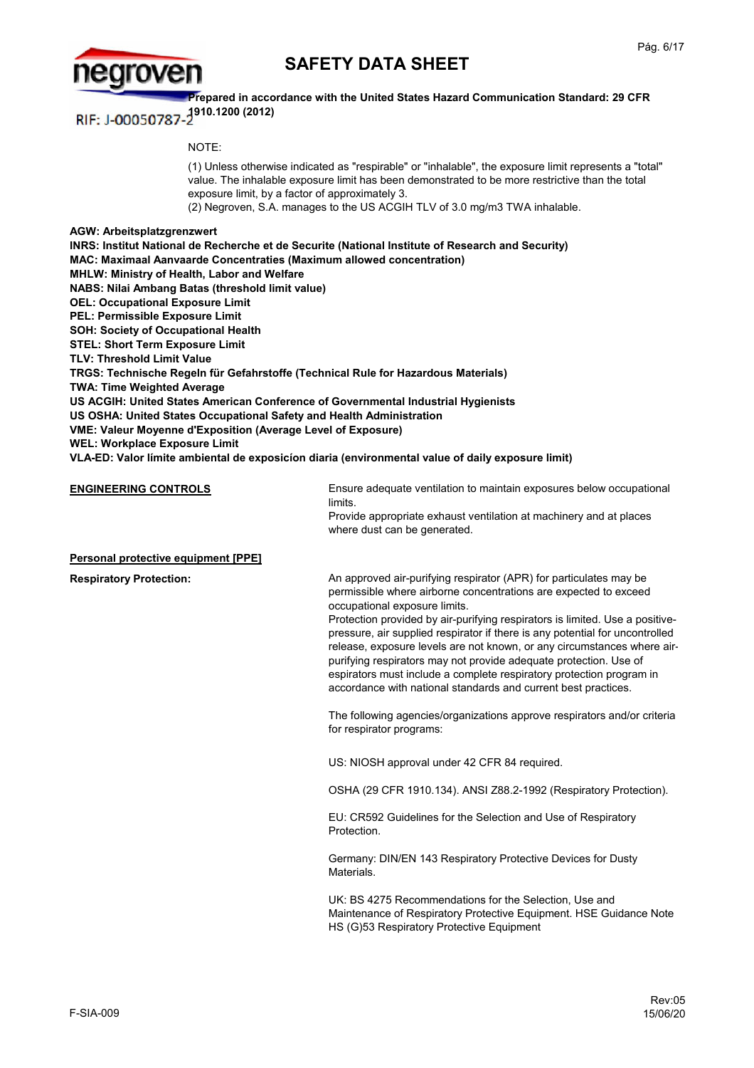



**Prepared in accordance with the United States Hazard Communication Standard: 29 CFR**  RIF: J-00050787-<sup>1910.1200</sup> (2012)

NOTE:

(1) Unless otherwise indicated as "respirable" or "inhalable", the exposure limit represents a "total" value. The inhalable exposure limit has been demonstrated to be more restrictive than the total exposure limit, by a factor of approximately 3.

(2) Negroven, S.A. manages to the US ACGIH TLV of 3.0 mg/m3 TWA inhalable.

**AGW: Arbeitsplatzgrenzwert INRS: Institut National de Recherche et de Securite (National Institute of Research and Security) MAC: Maximaal Aanvaarde Concentraties (Maximum allowed concentration) MHLW: Ministry of Health, Labor and Welfare NABS: Nilai Ambang Batas (threshold limit value) OEL: Occupational Exposure Limit PEL: Permissible Exposure Limit SOH: Society of Occupational Health STEL: Short Term Exposure Limit TLV: Threshold Limit Value TRGS: Technische Regeln für Gefahrstoffe (Technical Rule for Hazardous Materials) TWA: Time Weighted Average US ACGIH: United States American Conference of Governmental Industrial Hygienists US OSHA: United States Occupational Safety and Health Administration VME: Valeur Moyenne d'Exposition (Average Level of Exposure)**

**WEL: Workplace Exposure Limit**

**VLA-ED: Valor límite ambiental de exposicíon diaria (environmental value of daily exposure limit)**

**ENGINEERING CONTROLS** Ensure adequate ventilation to maintain exposures below occupational limits.

Provide appropriate exhaust ventilation at machinery and at places where dust can be generated.

**Personal protective equipment [PPE]**

**Respiratory Protection:**

An approved air-purifying respirator (APR) for particulates may be permissible where airborne concentrations are expected to exceed occupational exposure limits.

Protection provided by air-purifying respirators is limited. Use a positivepressure, air supplied respirator if there is any potential for uncontrolled release, exposure levels are not known, or any circumstances where airpurifying respirators may not provide adequate protection. Use of espirators must include a complete respiratory protection program in accordance with national standards and current best practices.

The following agencies/organizations approve respirators and/or criteria for respirator programs:

US: NIOSH approval under 42 CFR 84 required.

OSHA (29 CFR 1910.134). ANSI Z88.2-1992 (Respiratory Protection).

EU: CR592 Guidelines for the Selection and Use of Respiratory **Protection** 

Germany: DIN/EN 143 Respiratory Protective Devices for Dusty Materials.

UK: BS 4275 Recommendations for the Selection, Use and Maintenance of Respiratory Protective Equipment. HSE Guidance Note HS (G)53 Respiratory Protective Equipment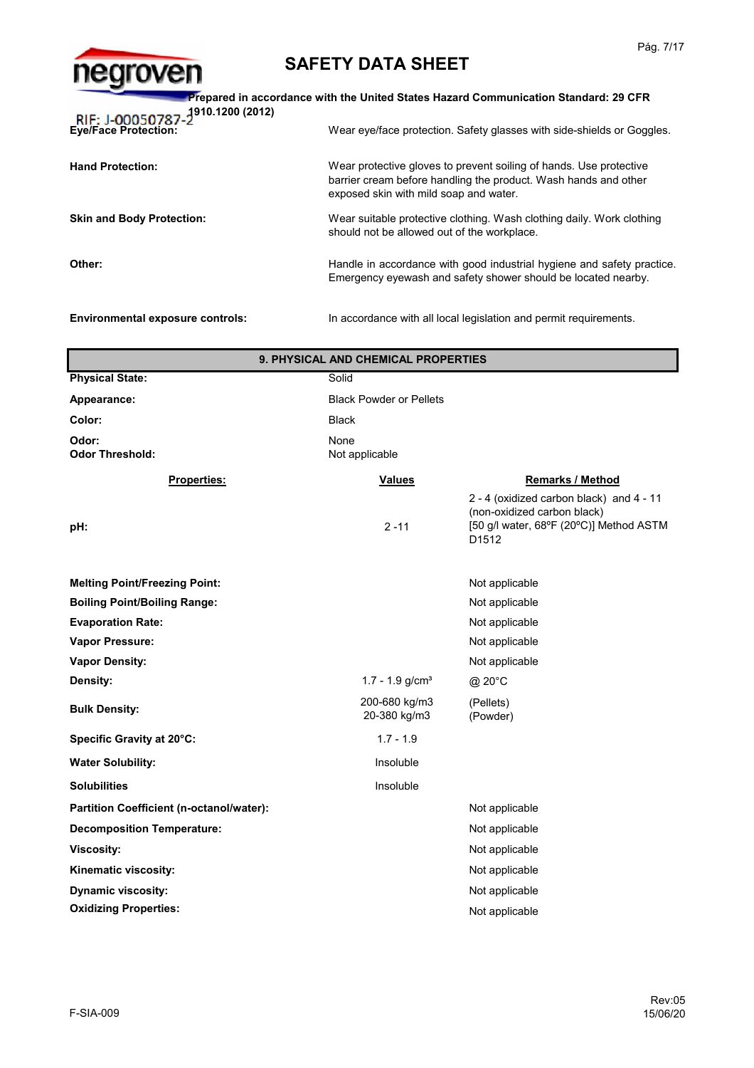

| Prepared in accordance with the United States Hazard Communication Standard: 29 CFR<br>RIF: J-00050787-2910.1200 (2012)                                                         |  |  |
|---------------------------------------------------------------------------------------------------------------------------------------------------------------------------------|--|--|
| Wear eye/face protection. Safety glasses with side-shields or Goggles.                                                                                                          |  |  |
| Wear protective gloves to prevent soiling of hands. Use protective<br>barrier cream before handling the product. Wash hands and other<br>exposed skin with mild soap and water. |  |  |
| Wear suitable protective clothing. Wash clothing daily. Work clothing<br><b>Skin and Body Protection:</b><br>should not be allowed out of the workplace.                        |  |  |
| Handle in accordance with good industrial hygiene and safety practice.<br>Emergency eyewash and safety shower should be located nearby.                                         |  |  |
|                                                                                                                                                                                 |  |  |

**Environmental exposure controls:** In accordance with all local legislation and permit requirements.

@ 20°C (Pellets) (Powder) Not applicable **Partition Coefficient (n-octanol/water):** Not applicable **Oxidizing Properties: Solubilities Kinematic viscosity:** Not applicable Not applicable Not applicable **Decomposition Temperature: Viscosity:** Not applicable that the contract of the contract of the contract of the contract of the contract of the contract of the contract of the contract of the contract of the contract of the contract of the contract Not applicable Not applicable **Density: Vapor Pressure: Odor Threshold: Boiling Point/Boiling Range: Properties: pH:** 2 -11 2 - 4 (oxidized carbon black) and 4 - 11 (non-oxidized carbon black) [50 g/l water, 68ºF (20ºC)] Method ASTM D1512 **Appearance:** Black Powder or Pellets 200-680 kg/m3 20-380 kg/m3 **Vapor Density:** None **Melting Point/Freezing Point: Evaporation Rate: Physical State:** Solid Not applicable **Values Color:** Black **Odor: Remarks / Method** Not applicable **9. PHYSICAL AND CHEMICAL PROPERTIES** Not applicable Not applicable Insoluble Insoluble 1.7 - 1.9 **Dynamic viscosity: Water Solubility: Bulk Density: Specific Gravity at 20°C:**  $1.7 - 1.9$  g/cm<sup>3</sup>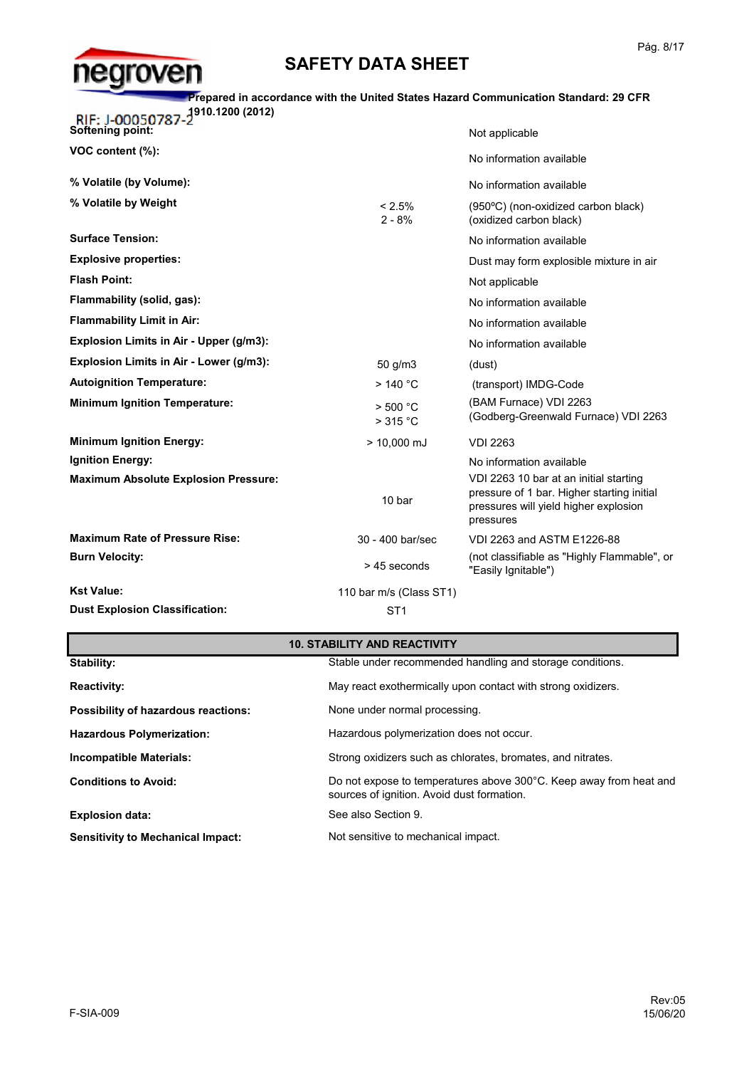

#### **Prepared in accordance with the United States Hazard Communication Standard: 29 CFR**

**1910.1200 (2012)**

| <b>KIF: J-00050787-2</b><br>Softening point: |                         | Not applicable                                                                                                                             |
|----------------------------------------------|-------------------------|--------------------------------------------------------------------------------------------------------------------------------------------|
| VOC content (%):                             |                         | No information available                                                                                                                   |
| % Volatile (by Volume):                      |                         | No information available                                                                                                                   |
| % Volatile by Weight                         | $< 2.5\%$<br>$2 - 8%$   | (950°C) (non-oxidized carbon black)<br>(oxidized carbon black)                                                                             |
| <b>Surface Tension:</b>                      |                         | No information available                                                                                                                   |
| <b>Explosive properties:</b>                 |                         | Dust may form explosible mixture in air                                                                                                    |
| <b>Flash Point:</b>                          |                         | Not applicable                                                                                                                             |
| Flammability (solid, gas):                   |                         | No information available                                                                                                                   |
| <b>Flammability Limit in Air:</b>            |                         | No information available                                                                                                                   |
| Explosion Limits in Air - Upper (g/m3):      |                         | No information available                                                                                                                   |
| Explosion Limits in Air - Lower (g/m3):      | 50 g/m3                 | (dust)                                                                                                                                     |
| <b>Autoignition Temperature:</b>             | >140 °C                 | (transport) IMDG-Code                                                                                                                      |
| <b>Minimum Ignition Temperature:</b>         | $>$ 500 °C<br>>315 °C   | (BAM Furnace) VDI 2263<br>(Godberg-Greenwald Furnace) VDI 2263                                                                             |
| <b>Minimum Ignition Energy:</b>              | $> 10,000$ mJ           | <b>VDI 2263</b>                                                                                                                            |
| <b>Ignition Energy:</b>                      |                         | No information available                                                                                                                   |
| <b>Maximum Absolute Explosion Pressure:</b>  | 10 bar                  | VDI 2263 10 bar at an initial starting<br>pressure of 1 bar. Higher starting initial<br>pressures will yield higher explosion<br>pressures |
| <b>Maximum Rate of Pressure Rise:</b>        | 30 - 400 bar/sec        | VDI 2263 and ASTM E1226-88                                                                                                                 |
| <b>Burn Velocity:</b>                        | > 45 seconds            | (not classifiable as "Highly Flammable", or<br>"Easily Ignitable")                                                                         |
| <b>Kst Value:</b>                            | 110 bar m/s (Class ST1) |                                                                                                                                            |
| <b>Dust Explosion Classification:</b>        | ST <sub>1</sub>         |                                                                                                                                            |

### **10. STABILITY AND REACTIVITY**

| Stability:                                 | Stable under recommended handling and storage conditions.                                                        |
|--------------------------------------------|------------------------------------------------------------------------------------------------------------------|
| <b>Reactivity:</b>                         | May react exothermically upon contact with strong oxidizers.                                                     |
| <b>Possibility of hazardous reactions:</b> | None under normal processing.                                                                                    |
| <b>Hazardous Polymerization:</b>           | Hazardous polymerization does not occur.                                                                         |
| <b>Incompatible Materials:</b>             | Strong oxidizers such as chlorates, bromates, and nitrates.                                                      |
| <b>Conditions to Avoid:</b>                | Do not expose to temperatures above 300°C. Keep away from heat and<br>sources of ignition. Avoid dust formation. |
| <b>Explosion data:</b>                     | See also Section 9.                                                                                              |
| <b>Sensitivity to Mechanical Impact:</b>   | Not sensitive to mechanical impact.                                                                              |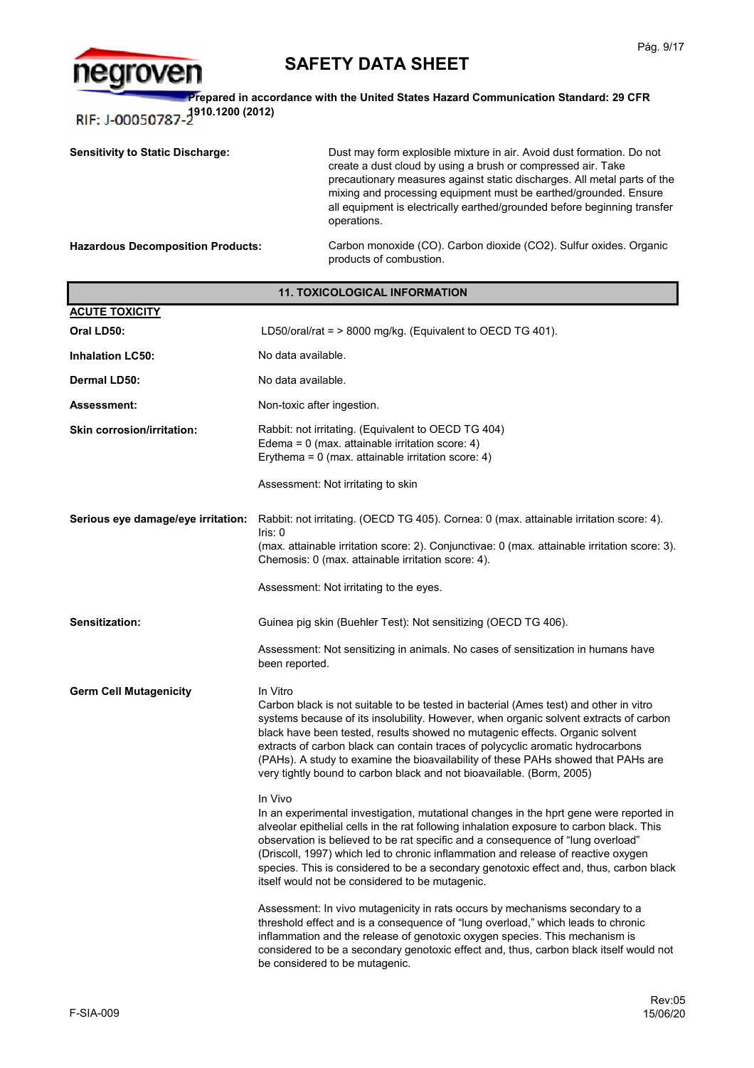

**Prepared in accordance with the United States Hazard Communication Standard: 29 CFR 1910.1200 (2012)** RIF: J-00050787

Carbon monoxide (CO). Carbon dioxide (CO2). Sulfur oxides. Organic products of combustion. **Sensitivity to Static Discharge:** Dust may form explosible mixture in air. Avoid dust formation. Do not create a dust cloud by using a brush or compressed air. Take precautionary measures against static discharges. All metal parts of the mixing and processing equipment must be earthed/grounded. Ensure all equipment is electrically earthed/grounded before beginning transfer operations. **Hazardous Decomposition Products:**

| <b>11. TOXICOLOGICAL INFORMATION</b> |                                                                                                                                                                                                                                                                                                                                                                                                                                                                                                                             |  |
|--------------------------------------|-----------------------------------------------------------------------------------------------------------------------------------------------------------------------------------------------------------------------------------------------------------------------------------------------------------------------------------------------------------------------------------------------------------------------------------------------------------------------------------------------------------------------------|--|
| <b>ACUTE TOXICITY</b>                |                                                                                                                                                                                                                                                                                                                                                                                                                                                                                                                             |  |
| Oral LD50:                           | LD50/oral/rat = > 8000 mg/kg. (Equivalent to OECD TG 401).                                                                                                                                                                                                                                                                                                                                                                                                                                                                  |  |
| <b>Inhalation LC50:</b>              | No data available.                                                                                                                                                                                                                                                                                                                                                                                                                                                                                                          |  |
| <b>Dermal LD50:</b>                  | No data available.                                                                                                                                                                                                                                                                                                                                                                                                                                                                                                          |  |
| Assessment:                          | Non-toxic after ingestion.                                                                                                                                                                                                                                                                                                                                                                                                                                                                                                  |  |
| <b>Skin corrosion/irritation:</b>    | Rabbit: not irritating. (Equivalent to OECD TG 404)<br>Edema = $0$ (max. attainable irritation score: 4)<br>Erythema = $0$ (max. attainable irritation score: 4)                                                                                                                                                                                                                                                                                                                                                            |  |
|                                      | Assessment: Not irritating to skin                                                                                                                                                                                                                                                                                                                                                                                                                                                                                          |  |
| Serious eye damage/eye irritation:   | Rabbit: not irritating. (OECD TG 405). Cornea: 0 (max. attainable irritation score: 4).<br>$l$ ris: 0<br>(max. attainable irritation score: 2). Conjunctivae: 0 (max. attainable irritation score: 3).<br>Chemosis: 0 (max. attainable irritation score: 4).                                                                                                                                                                                                                                                                |  |
|                                      | Assessment: Not irritating to the eyes.                                                                                                                                                                                                                                                                                                                                                                                                                                                                                     |  |
| Sensitization:                       | Guinea pig skin (Buehler Test): Not sensitizing (OECD TG 406).                                                                                                                                                                                                                                                                                                                                                                                                                                                              |  |
|                                      | Assessment: Not sensitizing in animals. No cases of sensitization in humans have<br>been reported.                                                                                                                                                                                                                                                                                                                                                                                                                          |  |
| <b>Germ Cell Mutagenicity</b>        | In Vitro<br>Carbon black is not suitable to be tested in bacterial (Ames test) and other in vitro<br>systems because of its insolubility. However, when organic solvent extracts of carbon<br>black have been tested, results showed no mutagenic effects. Organic solvent<br>extracts of carbon black can contain traces of polycyclic aromatic hydrocarbons<br>(PAHs). A study to examine the bioavailability of these PAHs showed that PAHs are<br>very tightly bound to carbon black and not bioavailable. (Borm, 2005) |  |
|                                      | In Vivo<br>In an experimental investigation, mutational changes in the hprt gene were reported in<br>alveolar epithelial cells in the rat following inhalation exposure to carbon black. This<br>observation is believed to be rat specific and a consequence of "lung overload"<br>(Driscoll, 1997) which led to chronic inflammation and release of reactive oxygen<br>species. This is considered to be a secondary genotoxic effect and, thus, carbon black<br>itself would not be considered to be mutagenic.          |  |
|                                      | Assessment: In vivo mutagenicity in rats occurs by mechanisms secondary to a<br>threshold effect and is a consequence of "lung overload," which leads to chronic<br>inflammation and the release of genotoxic oxygen species. This mechanism is<br>considered to be a secondary genotoxic effect and, thus, carbon black itself would not<br>be considered to be mutagenic.                                                                                                                                                 |  |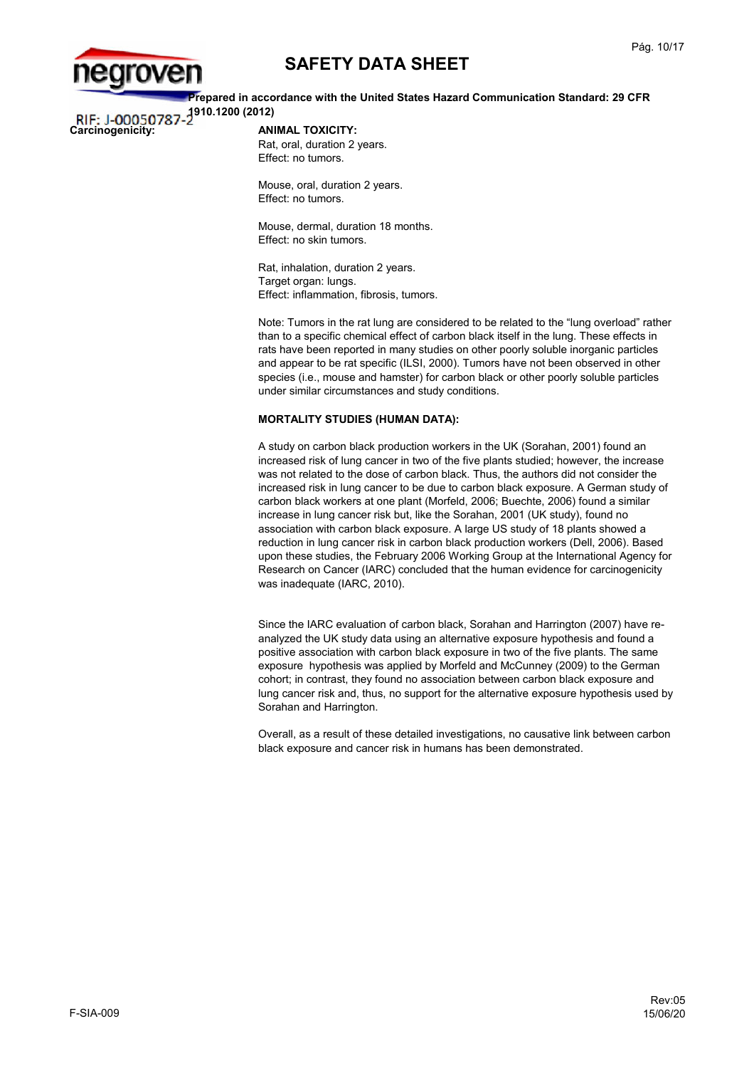

**Prepared in accordance with the United States Hazard Communication Standard: 29 CFR 1910.1200 (2012)**

# **Carcinogenicity: ANIMAL TOXICITY:**

Rat, oral, duration 2 years. Effect: no tumors.

Mouse, oral, duration 2 years. Effect: no tumors.

Mouse, dermal, duration 18 months. Effect: no skin tumors.

Rat, inhalation, duration 2 years. Target organ: lungs. Effect: inflammation, fibrosis, tumors.

Note: Tumors in the rat lung are considered to be related to the "lung overload" rather than to a specific chemical effect of carbon black itself in the lung. These effects in rats have been reported in many studies on other poorly soluble inorganic particles and appear to be rat specific (ILSI, 2000). Tumors have not been observed in other species (i.e., mouse and hamster) for carbon black or other poorly soluble particles under similar circumstances and study conditions.

#### **MORTALITY STUDIES (HUMAN DATA):**

A study on carbon black production workers in the UK (Sorahan, 2001) found an increased risk of lung cancer in two of the five plants studied; however, the increase was not related to the dose of carbon black. Thus, the authors did not consider the increased risk in lung cancer to be due to carbon black exposure. A German study of carbon black workers at one plant (Morfeld, 2006; Buechte, 2006) found a similar increase in lung cancer risk but, like the Sorahan, 2001 (UK study), found no association with carbon black exposure. A large US study of 18 plants showed a reduction in lung cancer risk in carbon black production workers (Dell, 2006). Based upon these studies, the February 2006 Working Group at the International Agency for Research on Cancer (IARC) concluded that the human evidence for carcinogenicity was inadequate (IARC, 2010).

Since the IARC evaluation of carbon black, Sorahan and Harrington (2007) have reanalyzed the UK study data using an alternative exposure hypothesis and found a positive association with carbon black exposure in two of the five plants. The same exposure hypothesis was applied by Morfeld and McCunney (2009) to the German cohort; in contrast, they found no association between carbon black exposure and lung cancer risk and, thus, no support for the alternative exposure hypothesis used by Sorahan and Harrington.

Overall, as a result of these detailed investigations, no causative link between carbon black exposure and cancer risk in humans has been demonstrated.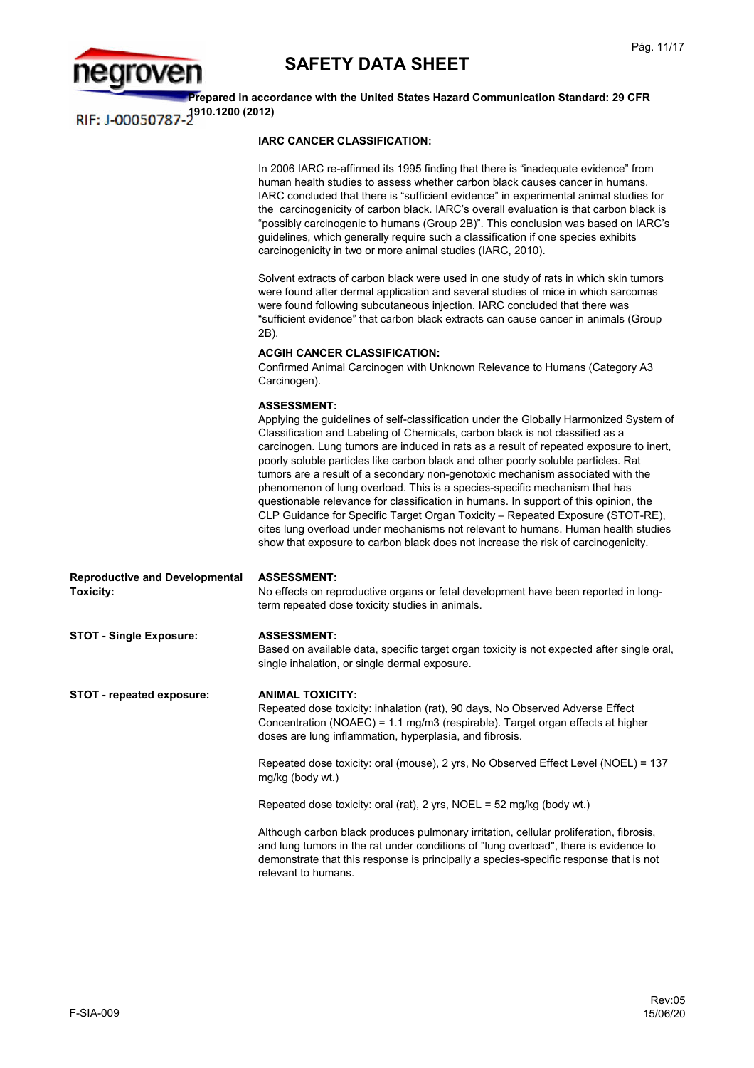



**Prepared in accordance with the United States Hazard Communication Standard: 29 CFR 1910.1200 (2012)**

### **IARC CANCER CLASSIFICATION:**

|                                                    | In 2006 IARC re-affirmed its 1995 finding that there is "inadequate evidence" from<br>human health studies to assess whether carbon black causes cancer in humans.<br>IARC concluded that there is "sufficient evidence" in experimental animal studies for<br>the carcinogenicity of carbon black. IARC's overall evaluation is that carbon black is<br>"possibly carcinogenic to humans (Group 2B)". This conclusion was based on IARC's<br>guidelines, which generally require such a classification if one species exhibits<br>carcinogenicity in two or more animal studies (IARC, 2010).                                                                                                                                                                                                                                                                                                    |
|----------------------------------------------------|---------------------------------------------------------------------------------------------------------------------------------------------------------------------------------------------------------------------------------------------------------------------------------------------------------------------------------------------------------------------------------------------------------------------------------------------------------------------------------------------------------------------------------------------------------------------------------------------------------------------------------------------------------------------------------------------------------------------------------------------------------------------------------------------------------------------------------------------------------------------------------------------------|
|                                                    | Solvent extracts of carbon black were used in one study of rats in which skin tumors<br>were found after dermal application and several studies of mice in which sarcomas<br>were found following subcutaneous injection. IARC concluded that there was<br>"sufficient evidence" that carbon black extracts can cause cancer in animals (Group<br>2B).                                                                                                                                                                                                                                                                                                                                                                                                                                                                                                                                            |
|                                                    | <b>ACGIH CANCER CLASSIFICATION:</b><br>Confirmed Animal Carcinogen with Unknown Relevance to Humans (Category A3<br>Carcinogen).                                                                                                                                                                                                                                                                                                                                                                                                                                                                                                                                                                                                                                                                                                                                                                  |
|                                                    | <b>ASSESSMENT:</b><br>Applying the guidelines of self-classification under the Globally Harmonized System of<br>Classification and Labeling of Chemicals, carbon black is not classified as a<br>carcinogen. Lung tumors are induced in rats as a result of repeated exposure to inert,<br>poorly soluble particles like carbon black and other poorly soluble particles. Rat<br>tumors are a result of a secondary non-genotoxic mechanism associated with the<br>phenomenon of lung overload. This is a species-specific mechanism that has<br>questionable relevance for classification in humans. In support of this opinion, the<br>CLP Guidance for Specific Target Organ Toxicity - Repeated Exposure (STOT-RE),<br>cites lung overload under mechanisms not relevant to humans. Human health studies<br>show that exposure to carbon black does not increase the risk of carcinogenicity. |
| <b>Reproductive and Developmental</b><br>Toxicity: | <b>ASSESSMENT:</b><br>No effects on reproductive organs or fetal development have been reported in long-<br>term repeated dose toxicity studies in animals.                                                                                                                                                                                                                                                                                                                                                                                                                                                                                                                                                                                                                                                                                                                                       |
| <b>STOT - Single Exposure:</b>                     | <b>ASSESSMENT:</b><br>Based on available data, specific target organ toxicity is not expected after single oral,<br>single inhalation, or single dermal exposure.                                                                                                                                                                                                                                                                                                                                                                                                                                                                                                                                                                                                                                                                                                                                 |
| <b>STOT - repeated exposure:</b>                   | <b>ANIMAL TOXICITY:</b><br>Repeated dose toxicity: inhalation (rat), 90 days, No Observed Adverse Effect<br>Concentration (NOAEC) = 1.1 mg/m3 (respirable). Target organ effects at higher<br>doses are lung inflammation, hyperplasia, and fibrosis.                                                                                                                                                                                                                                                                                                                                                                                                                                                                                                                                                                                                                                             |
|                                                    | Repeated dose toxicity: oral (mouse), 2 yrs, No Observed Effect Level (NOEL) = 137<br>mg/kg (body wt.)                                                                                                                                                                                                                                                                                                                                                                                                                                                                                                                                                                                                                                                                                                                                                                                            |
|                                                    | Repeated dose toxicity: oral (rat), 2 yrs, NOEL = 52 mg/kg (body wt.)                                                                                                                                                                                                                                                                                                                                                                                                                                                                                                                                                                                                                                                                                                                                                                                                                             |
|                                                    | Although carbon black produces pulmonary irritation, cellular proliferation, fibrosis,<br>and lung tumors in the rat under conditions of "lung overload", there is evidence to<br>demonstrate that this response is principally a species-specific response that is not<br>relevant to humans.                                                                                                                                                                                                                                                                                                                                                                                                                                                                                                                                                                                                    |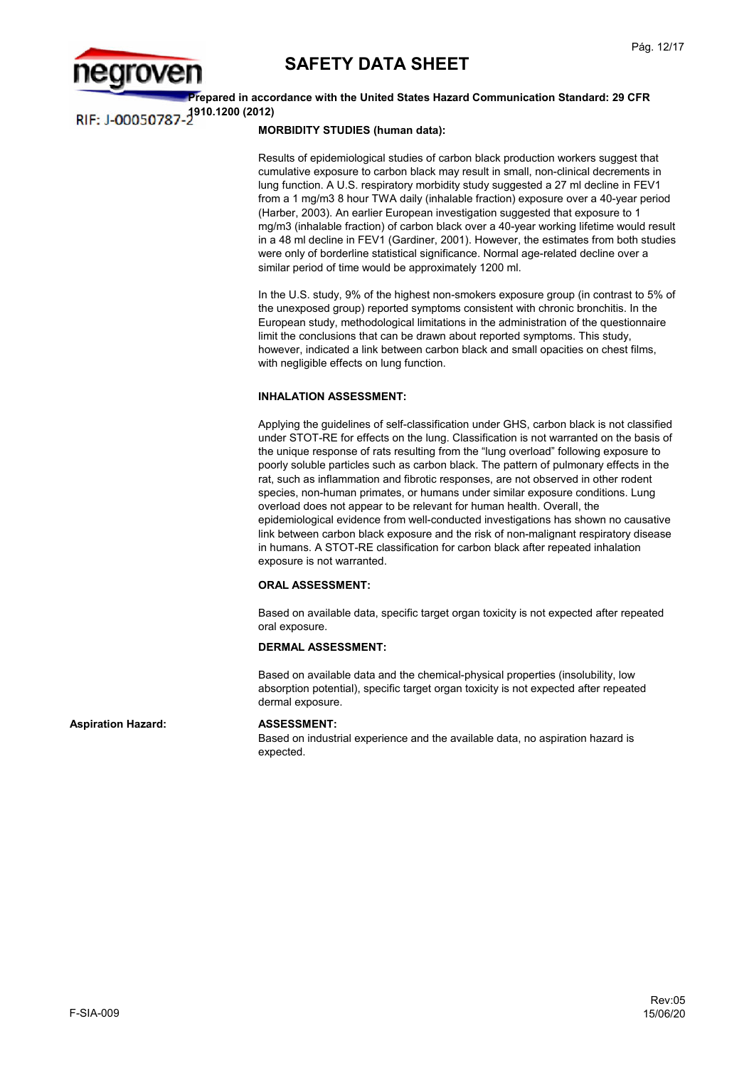

**Prepared in accordance with the United States Hazard Communication Standard: 29 CFR 1910.1200 (2012) RIF: I-00050787** 

### **MORBIDITY STUDIES (human data):**

Results of epidemiological studies of carbon black production workers suggest that cumulative exposure to carbon black may result in small, non-clinical decrements in lung function. A U.S. respiratory morbidity study suggested a 27 ml decline in FEV1 from a 1 mg/m3 8 hour TWA daily (inhalable fraction) exposure over a 40-year period (Harber, 2003). An earlier European investigation suggested that exposure to 1 mg/m3 (inhalable fraction) of carbon black over a 40-year working lifetime would result in a 48 ml decline in FEV1 (Gardiner, 2001). However, the estimates from both studies were only of borderline statistical significance. Normal age-related decline over a similar period of time would be approximately 1200 ml.

In the U.S. study, 9% of the highest non-smokers exposure group (in contrast to 5% of the unexposed group) reported symptoms consistent with chronic bronchitis. In the European study, methodological limitations in the administration of the questionnaire limit the conclusions that can be drawn about reported symptoms. This study, however, indicated a link between carbon black and small opacities on chest films, with negligible effects on lung function.

### **INHALATION ASSESSMENT:**

Applying the guidelines of self-classification under GHS, carbon black is not classified under STOT-RE for effects on the lung. Classification is not warranted on the basis of the unique response of rats resulting from the "lung overload" following exposure to poorly soluble particles such as carbon black. The pattern of pulmonary effects in the rat, such as inflammation and fibrotic responses, are not observed in other rodent species, non-human primates, or humans under similar exposure conditions. Lung overload does not appear to be relevant for human health. Overall, the epidemiological evidence from well-conducted investigations has shown no causative link between carbon black exposure and the risk of non-malignant respiratory disease in humans. A STOT-RE classification for carbon black after repeated inhalation exposure is not warranted.

#### **ORAL ASSESSMENT:**

Based on available data, specific target organ toxicity is not expected after repeated oral exposure.

#### **DERMAL ASSESSMENT:**

Based on available data and the chemical-physical properties (insolubility, low absorption potential), specific target organ toxicity is not expected after repeated dermal exposure.

Aspiration Hazard: **ASSESSMENT:** 

Based on industrial experience and the available data, no aspiration hazard is expected.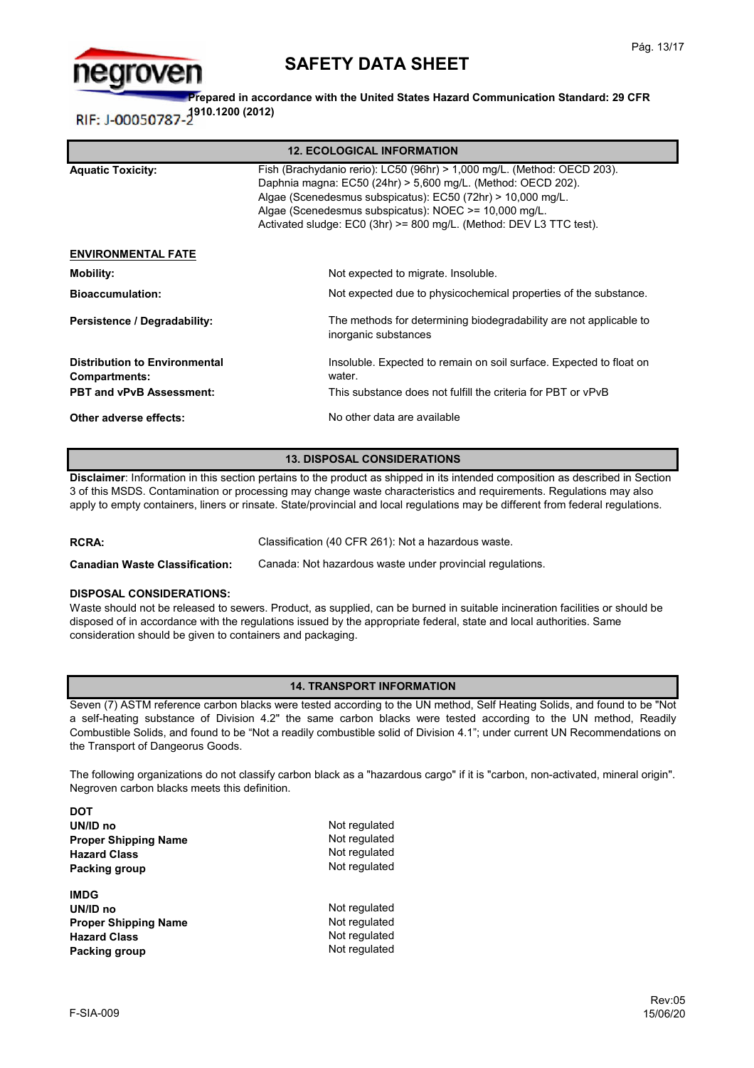

**Prepared in accordance with the United States Hazard Communication Standard: 29 CFR**  RIF: J-00050787-<sup>1910.1200</sup> (2012)

| <b>12. ECOLOGICAL INFORMATION</b>                     |                                                                                                                                                                                                                                                                                                                                        |  |  |
|-------------------------------------------------------|----------------------------------------------------------------------------------------------------------------------------------------------------------------------------------------------------------------------------------------------------------------------------------------------------------------------------------------|--|--|
| <b>Aquatic Toxicity:</b>                              | Fish (Brachydanio rerio): LC50 (96hr) > 1,000 mg/L. (Method: OECD 203).<br>Daphnia magna: EC50 (24hr) > 5,600 mg/L. (Method: OECD 202).<br>Algae (Scenedesmus subspicatus): EC50 (72hr) > 10,000 mg/L.<br>Algae (Scenedesmus subspicatus): NOEC >= 10,000 mg/L.<br>Activated sludge: EC0 (3hr) >= 800 mg/L. (Method: DEV L3 TTC test). |  |  |
| <b>ENVIRONMENTAL FATE</b>                             |                                                                                                                                                                                                                                                                                                                                        |  |  |
| Mobility:                                             | Not expected to migrate. Insoluble.                                                                                                                                                                                                                                                                                                    |  |  |
| <b>Bioaccumulation:</b>                               | Not expected due to physicochemical properties of the substance.                                                                                                                                                                                                                                                                       |  |  |
| Persistence / Degradability:                          | The methods for determining biodegradability are not applicable to<br>inorganic substances                                                                                                                                                                                                                                             |  |  |
| <b>Distribution to Environmental</b><br>Compartments: | Insoluble. Expected to remain on soil surface. Expected to float on<br>water.                                                                                                                                                                                                                                                          |  |  |
| <b>PBT and vPvB Assessment:</b>                       | This substance does not fulfill the criteria for PBT or vPvB                                                                                                                                                                                                                                                                           |  |  |
| Other adverse effects:                                | No other data are available                                                                                                                                                                                                                                                                                                            |  |  |

#### **13. DISPOSAL CONSIDERATIONS**

**Disclaimer**: Information in this section pertains to the product as shipped in its intended composition as described in Section 3 of this MSDS. Contamination or processing may change waste characteristics and requirements. Regulations may also apply to empty containers, liners or rinsate. State/provincial and local regulations may be different from federal regulations.

**RCRA:** Classification (40 CFR 261): Not a hazardous waste.

**Canadian Waste Classification:**  Canada: Not hazardous waste under provincial regulations.

#### **DISPOSAL CONSIDERATIONS:**

Waste should not be released to sewers. Product, as supplied, can be burned in suitable incineration facilities or should be disposed of in accordance with the regulations issued by the appropriate federal, state and local authorities. Same consideration should be given to containers and packaging.

### **14. TRANSPORT INFORMATION**

Seven (7) ASTM reference carbon blacks were tested according to the UN method, Self Heating Solids, and found to be "Not a self-heating substance of Division 4.2" the same carbon blacks were tested according to the UN method, Readily Combustible Solids, and found to be "Not a readily combustible solid of Division 4.1"; under current UN Recommendations on the Transport of Dangeorus Goods.

The following organizations do not classify carbon black as a "hazardous cargo" if it is "carbon, non-activated, mineral origin". Negroven carbon blacks meets this definition.

| <b>DOT</b>                  |               |
|-----------------------------|---------------|
| UN/ID no                    | Not regulated |
| <b>Proper Shipping Name</b> | Not regulated |
| <b>Hazard Class</b>         | Not regulated |
| Packing group               | Not regulated |
| <b>IMDG</b>                 |               |
| UN/ID no                    | Not regulated |
| <b>Proper Shipping Name</b> | Not regulated |
| <b>Hazard Class</b>         | Not regulated |
| Packing group               | Not regulated |
|                             |               |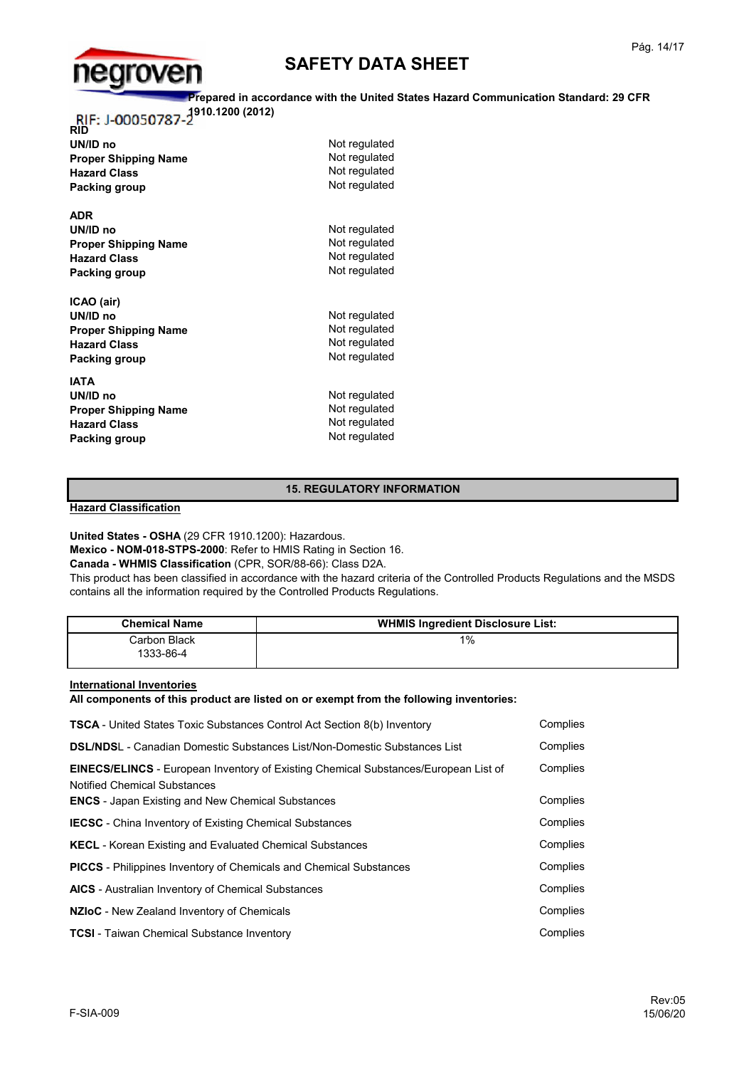

### **Prepared in accordance with the United States Hazard Communication Standard: 29 CFR**

**1910.1200 (2012)**

| <b>RID</b>                  |               |
|-----------------------------|---------------|
| UN/ID no                    | Not regulated |
| <b>Proper Shipping Name</b> | Not regulated |
| <b>Hazard Class</b>         | Not regulated |
| <b>Packing group</b>        | Not regulated |
| <b>ADR</b>                  |               |
| UN/ID no                    | Not regulated |
| <b>Proper Shipping Name</b> | Not regulated |
| <b>Hazard Class</b>         | Not regulated |
| Packing group               | Not regulated |
| ICAO (air)                  |               |
| UN/ID no                    | Not regulated |
| <b>Proper Shipping Name</b> | Not regulated |
| <b>Hazard Class</b>         | Not regulated |
| Packing group               | Not regulated |
| <b>IATA</b>                 |               |
| UN/ID no                    | Not regulated |
| <b>Proper Shipping Name</b> | Not regulated |
| <b>Hazard Class</b>         | Not regulated |
| Packing group               | Not regulated |
|                             |               |

### **15. REGULATORY INFORMATION**

**Hazard Classification**

**United States - OSHA** (29 CFR 1910.1200): Hazardous.

**Mexico - NOM-018-STPS-2000**: Refer to HMIS Rating in Section 16.

**Canada - WHMIS Classification** (CPR, SOR/88-66): Class D2A.

This product has been classified in accordance with the hazard criteria of the Controlled Products Regulations and the MSDS contains all the information required by the Controlled Products Regulations.

| <b>Chemical Name</b>      | <b>WHMIS Ingredient Disclosure List:</b> |
|---------------------------|------------------------------------------|
| Carbon Black<br>1333-86-4 | 1%                                       |

**International Inventories**

**All components of this product are listed on or exempt from the following inventories:**

| <b>TSCA</b> - United States Toxic Substances Control Act Section 8(b) Inventory                                                                                                               | Complies             |
|-----------------------------------------------------------------------------------------------------------------------------------------------------------------------------------------------|----------------------|
| <b>DSL/NDSL</b> - Canadian Domestic Substances List/Non-Domestic Substances List                                                                                                              | Complies             |
| <b>EINECS/ELINCS</b> - European Inventory of Existing Chemical Substances/European List of<br><b>Notified Chemical Substances</b><br><b>ENCS</b> - Japan Existing and New Chemical Substances | Complies<br>Complies |
| <b>IECSC</b> - China Inventory of Existing Chemical Substances                                                                                                                                | Complies             |
| <b>KECL</b> - Korean Existing and Evaluated Chemical Substances                                                                                                                               | Complies             |
| <b>PICCS</b> - Philippines Inventory of Chemicals and Chemical Substances                                                                                                                     | Complies             |
| <b>AICS</b> - Australian Inventory of Chemical Substances                                                                                                                                     | Complies             |
| NZIOC - New Zealand Inventory of Chemicals                                                                                                                                                    | Complies             |
| <b>TCSI</b> - Taiwan Chemical Substance Inventory                                                                                                                                             | Complies             |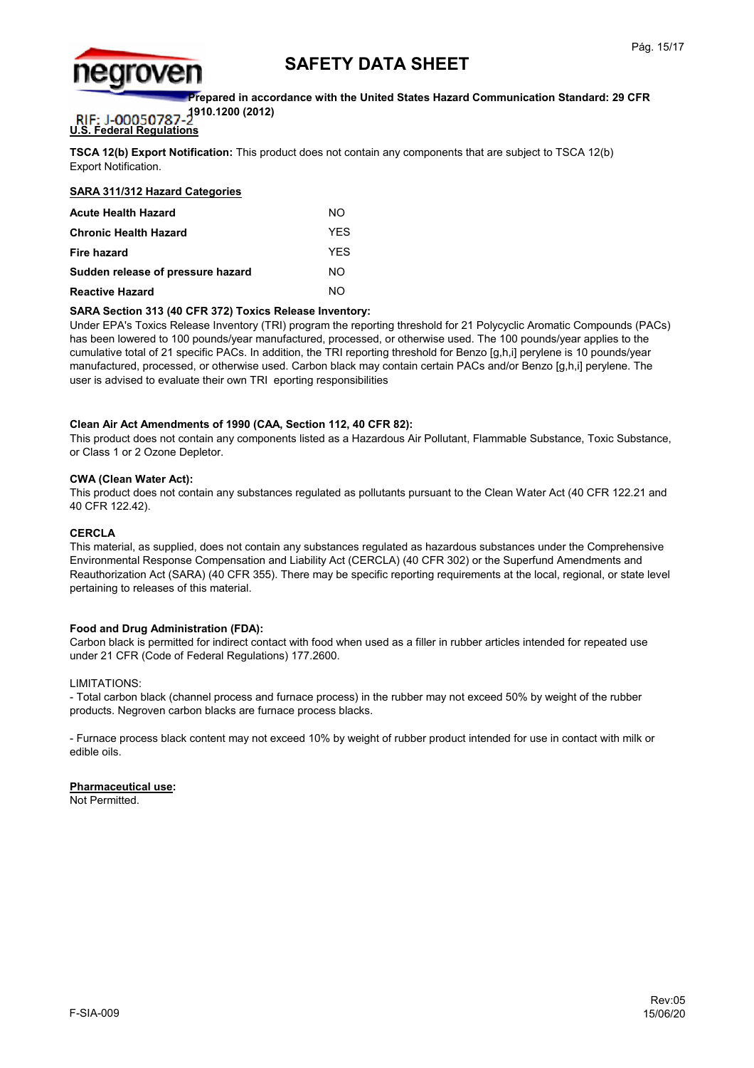

**Prepared in accordance with the United States Hazard Communication Standard: 29 CFR** 

**1910.1200 (2012)** RIF: J-00050787

### **U.S. Federal Regulations**

**TSCA 12(b) Export Notification:** This product does not contain any components that are subject to TSCA 12(b) Export Notification.

### **SARA 311/312 Hazard Categories**

| <b>Acute Health Hazard</b>        | NΟ   |
|-----------------------------------|------|
| <b>Chronic Health Hazard</b>      | YFS  |
| Fire hazard                       | YFS. |
| Sudden release of pressure hazard | NΟ   |
| <b>Reactive Hazard</b>            | NΩ   |

### **SARA Section 313 (40 CFR 372) Toxics Release Inventory:**

Under EPA's Toxics Release Inventory (TRI) program the reporting threshold for 21 Polycyclic Aromatic Compounds (PACs) has been lowered to 100 pounds/year manufactured, processed, or otherwise used. The 100 pounds/year applies to the cumulative total of 21 specific PACs. In addition, the TRI reporting threshold for Benzo [g,h,i] perylene is 10 pounds/year manufactured, processed, or otherwise used. Carbon black may contain certain PACs and/or Benzo [g,h,i] perylene. The user is advised to evaluate their own TRI eporting responsibilities

### **Clean Air Act Amendments of 1990 (CAA, Section 112, 40 CFR 82):**

This product does not contain any components listed as a Hazardous Air Pollutant, Flammable Substance, Toxic Substance, or Class 1 or 2 Ozone Depletor.

### **CWA (Clean Water Act):**

This product does not contain any substances regulated as pollutants pursuant to the Clean Water Act (40 CFR 122.21 and 40 CFR 122.42).

#### **CERCLA**

This material, as supplied, does not contain any substances regulated as hazardous substances under the Comprehensive Environmental Response Compensation and Liability Act (CERCLA) (40 CFR 302) or the Superfund Amendments and Reauthorization Act (SARA) (40 CFR 355). There may be specific reporting requirements at the local, regional, or state level pertaining to releases of this material.

### **Food and Drug Administration (FDA):**

Carbon black is permitted for indirect contact with food when used as a filler in rubber articles intended for repeated use under 21 CFR (Code of Federal Regulations) 177.2600.

#### LIMITATIONS:

- Total carbon black (channel process and furnace process) in the rubber may not exceed 50% by weight of the rubber products. Negroven carbon blacks are furnace process blacks.

- Furnace process black content may not exceed 10% by weight of rubber product intended for use in contact with milk or edible oils.

#### **Pharmaceutical use:**

Not Permitted.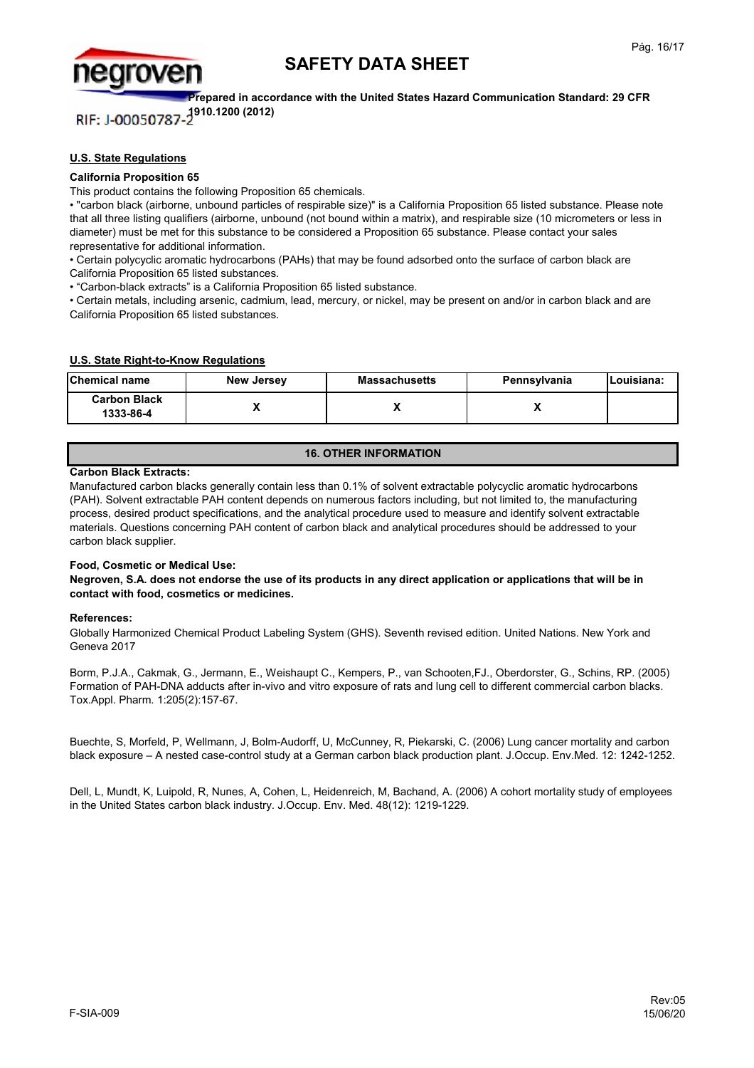

**Prepared in accordance with the United States Hazard Communication Standard: 29 CFR 1910.1200 (2012)** RIF: J-00050787

### **U.S. State Regulations**

#### **California Proposition 65**

This product contains the following Proposition 65 chemicals.

• "carbon black (airborne, unbound particles of respirable size)" is a California Proposition 65 listed substance. Please note that all three listing qualifiers (airborne, unbound (not bound within a matrix), and respirable size (10 micrometers or less in diameter) must be met for this substance to be considered a Proposition 65 substance. Please contact your sales representative for additional information.

• Certain polycyclic aromatic hydrocarbons (PAHs) that may be found adsorbed onto the surface of carbon black are California Proposition 65 listed substances.

• "Carbon-black extracts" is a California Proposition 65 listed substance.

• Certain metals, including arsenic, cadmium, lead, mercury, or nickel, may be present on and/or in carbon black and are California Proposition 65 listed substances.

### **U.S. State Right-to-Know Regulations**

| <b>Chemical name</b>             | <b>New Jersey</b> | <b>Massachusetts</b> | Pennsylvania | lLouisiana: |
|----------------------------------|-------------------|----------------------|--------------|-------------|
| <b>Carbon Black</b><br>1333-86-4 |                   | ↗                    |              |             |

### **16. OTHER INFORMATION**

#### **Carbon Black Extracts:**

Manufactured carbon blacks generally contain less than 0.1% of solvent extractable polycyclic aromatic hydrocarbons (PAH). Solvent extractable PAH content depends on numerous factors including, but not limited to, the manufacturing process, desired product specifications, and the analytical procedure used to measure and identify solvent extractable materials. Questions concerning PAH content of carbon black and analytical procedures should be addressed to your carbon black supplier.

#### **Food, Cosmetic or Medical Use:**

**Negroven, S.A. does not endorse the use of its products in any direct application or applications that will be in contact with food, cosmetics or medicines.**

#### **References:**

Globally Harmonized Chemical Product Labeling System (GHS). Seventh revised edition. United Nations. New York and Geneva 2017

Borm, P.J.A., Cakmak, G., Jermann, E., Weishaupt C., Kempers, P., van Schooten,FJ., Oberdorster, G., Schins, RP. (2005) Formation of PAH-DNA adducts after in-vivo and vitro exposure of rats and lung cell to different commercial carbon blacks. Tox.Appl. Pharm. 1:205(2):157-67.

Buechte, S, Morfeld, P, Wellmann, J, Bolm-Audorff, U, McCunney, R, Piekarski, C. (2006) Lung cancer mortality and carbon black exposure – A nested case-control study at a German carbon black production plant. J.Occup. Env.Med. 12: 1242-1252.

Dell, L, Mundt, K, Luipold, R, Nunes, A, Cohen, L, Heidenreich, M, Bachand, A. (2006) A cohort mortality study of employees in the United States carbon black industry. J.Occup. Env. Med. 48(12): 1219-1229.